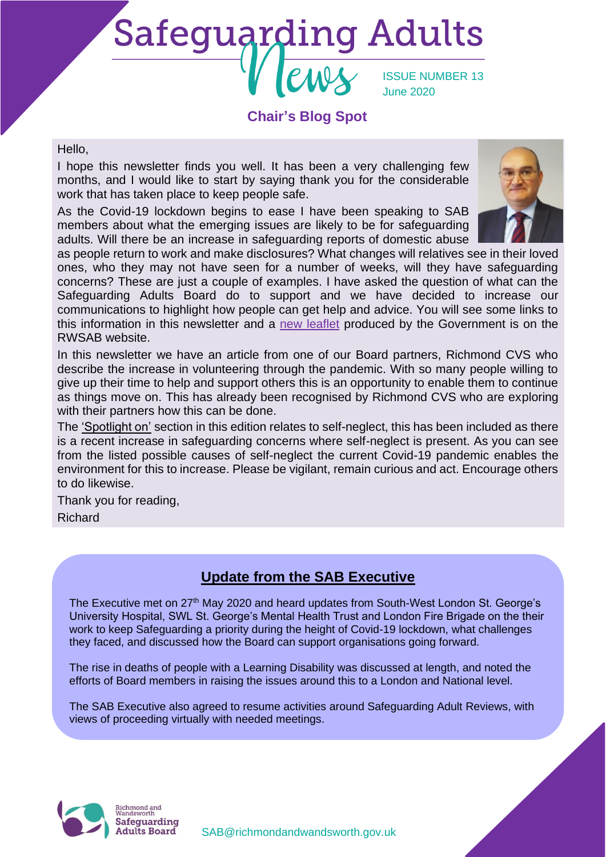# **Safeguarding Adults**

ISSUE NUMBER 13 June 2020

#### **Chair's Blog Spot**

#### Hello,

I hope this newsletter finds you well. It has been a very challenging few months, and I would like to start by saying thank you for the considerable work that has taken place to keep people safe.

As the Covid-19 lockdown begins to ease I have been speaking to SAB members about what the emerging issues are likely to be for safeguarding adults. Will there be an increase in safeguarding reports of domestic abuse



as people return to work and make disclosures? What changes will relatives see in their loved ones, who they may not have seen for a number of weeks, will they have safeguarding concerns? These are just a couple of examples. I have asked the question of what can the Safeguarding Adults Board do to support and we have decided to increase our communications to highlight how people can get help and advice. You will see some links to this information in this newsletter and a [new leaflet](https://www.richmond.gov.uk/media/19214/safeguarding_is_everyones_business.pdf) produced by the Government is on the RWSAB website.

In this newsletter we have an article from one of our Board partners, Richmond CVS who describe the increase in volunteering through the pandemic. With so many people willing to give up their time to help and support others this is an opportunity to enable them to continue as things move on. This has already been recognised by Richmond CVS who are exploring with their partners how this can be done.

The 'Spotlight on' section in this edition relates to self-neglect, this has been included as there is a recent increase in safeguarding concerns where self-neglect is present. As you can see from the listed possible causes of self-neglect the current Covid-19 pandemic enables the environment for this to increase. Please be vigilant, remain curious and act. Encourage others to do likewise.

Thank you for reading,

Richard

#### **Update from the SAB Executive**

The Executive met on 27<sup>th</sup> May 2020 and heard updates from South-West London St. George's University Hospital, SWL St. George's Mental Health Trust and London Fire Brigade on the their work to keep Safeguarding a priority during the height of Covid-19 lockdown, what challenges they faced, and discussed how the Board can support organisations going forward.

The rise in deaths of people with a Learning Disability was discussed at length, and noted the efforts of Board members in raising the issues around this to a London and National level.

The SAB Executive also agreed to resume activities around Safeguarding Adult Reviews, with views of proceeding virtually with needed meetings.



[SAB@richmondandwandsworth.gov.uk](mailto:SAB@richmondandwandsworth.gov.uk)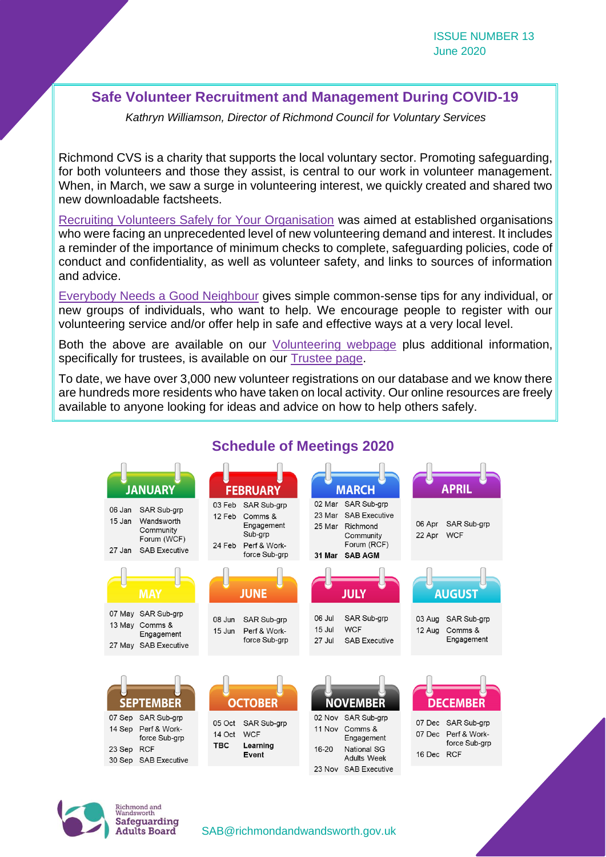#### **Safe Volunteer Recruitment and Management During COVID-19**

*Kathryn Williamson, Director of Richmond Council for Voluntary Services*

Richmond CVS is a charity that supports the local voluntary sector. Promoting safeguarding, for both volunteers and those they assist, is central to our work in volunteer management. When, in March, we saw a surge in volunteering interest, we quickly created and shared two new downloadable factsheets.

[Recruiting Volunteers Safely for Your Organisation](https://richmondcvs.org.uk/wp-content/uploads/2020/03/Safe-Volunteer-Recruitment-for-VIOs-March-2020.pdf) was aimed at established organisations who were facing an unprecedented level of new volunteering demand and interest. It includes a reminder of the importance of minimum checks to complete, safeguarding policies, code of conduct and confidentiality, as well as volunteer safety, and links to sources of information and advice.

[Everybody Needs a Good Neighbour](https://richmondcvs.org.uk/wp-content/uploads/2020/03/Everybody-Needs-a-Good-Neighbour-March-2020.pdf) gives simple common-sense tips for any individual, or new groups of individuals, who want to help. We encourage people to register with our volunteering service and/or offer help in safe and effective ways at a very local level.

Both the above are available on our [Volunteering webpage](https://richmondcvs.org.uk/richmond-volunteering/) plus additional information, specifically for trustees, is available on our [Trustee page.](https://richmondcvs.org.uk/trustees/)

To date, we have over 3,000 new volunteer registrations on our database and we know there are hundreds more residents who have taken on local activity. Our online resources are freely available to anyone looking for ideas and advice on how to help others safely.



#### **Schedule of Meetings 2020**



[SAB@richmondandwandsworth.gov.uk](mailto:SAB@richmondandwandsworth.gov.uk)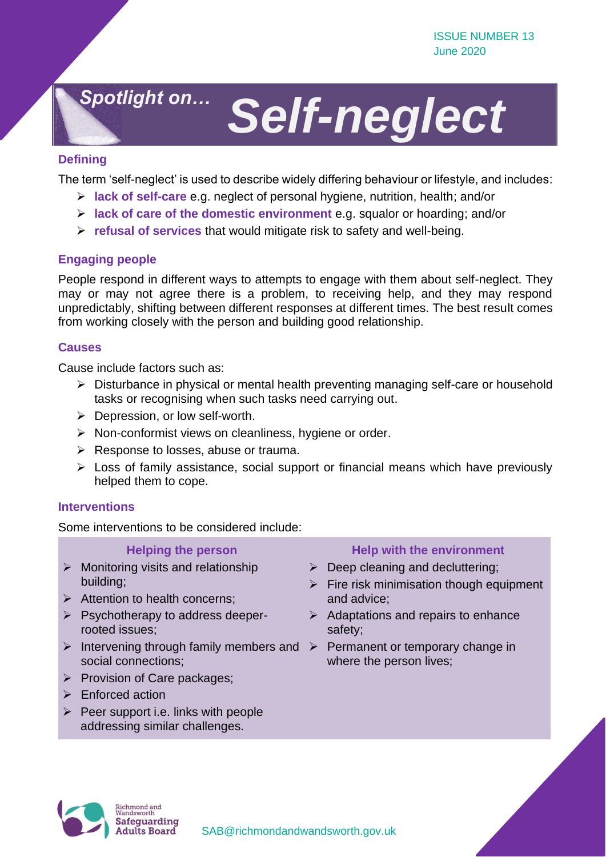### *Spotlight on…*

## *Self-neglect*

#### **Defining**

The term 'self-neglect' is used to describe widely differing behaviour or lifestyle, and includes:

- ➢ **lack of self-care** e.g. neglect of personal hygiene, nutrition, health; and/or
- ➢ **lack of care of the domestic environment** e.g. squalor or hoarding; and/or
- ➢ **refusal of services** that would mitigate risk to safety and well-being.

#### **Engaging people**

People respond in different ways to attempts to engage with them about self-neglect. They may or may not agree there is a problem, to receiving help, and they may respond unpredictably, shifting between different responses at different times. The best result comes from working closely with the person and building good relationship.

#### **Causes**

Cause include factors such as:

- ➢ Disturbance in physical or mental health preventing managing self-care or household tasks or recognising when such tasks need carrying out.
- $\triangleright$  Depression, or low self-worth.
- ➢ Non-conformist views on cleanliness, hygiene or order.
- ➢ Response to losses, abuse or trauma.
- ➢ Loss of family assistance, social support or financial means which have previously helped them to cope.

#### **Interventions**

Some interventions to be considered include:

#### **Helping the person**

- $\triangleright$  Monitoring visits and relationship building;
- ➢ Attention to health concerns;
- ➢ Psychotherapy to address deeperrooted issues;
- $\triangleright$  Intervening through family members and  $\triangleright$  Permanent or temporary change in social connections;
- ➢ Provision of Care packages;
- ➢ Enforced action
- $\triangleright$  Peer support i.e. links with people addressing similar challenges.

#### **Help with the environment**

- $\triangleright$  Deep cleaning and decluttering;
- $\triangleright$  Fire risk minimisation though equipment and advice;
- $\triangleright$  Adaptations and repairs to enhance safety;
- where the person lives;